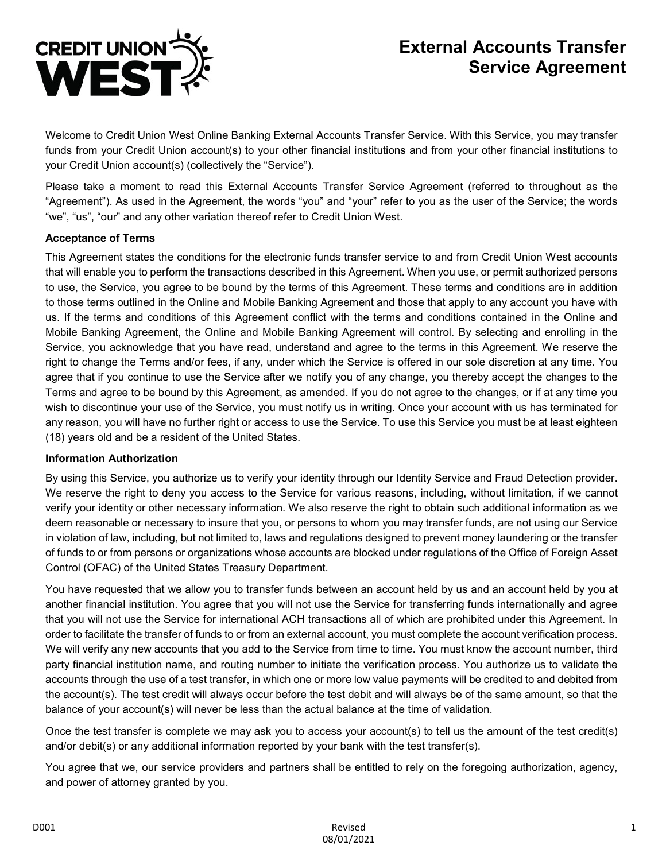

# **External Accounts Transfer Service Agreement**

Welcome to Credit Union West Online Banking External Accounts Transfer Service. With this Service, you may transfer funds from your Credit Union account(s) to your other financial institutions and from your other financial institutions to your Credit Union account(s) (collectively the "Service").

Please take a moment to read this External Accounts Transfer Service Agreement (referred to throughout as the "Agreement"). As used in the Agreement, the words "you" and "your" refer to you as the user of the Service; the words "we", "us", "our" and any other variation thereof refer to Credit Union West.

#### **Acceptance of Terms**

This Agreement states the conditions for the electronic funds transfer service to and from Credit Union West accounts that will enable you to perform the transactions described in this Agreement. When you use, or permit authorized persons to use, the Service, you agree to be bound by the terms of this Agreement. These terms and conditions are in addition to those terms outlined in the Online and Mobile Banking Agreement and those that apply to any account you have with us. If the terms and conditions of this Agreement conflict with the terms and conditions contained in the Online and Mobile Banking Agreement, the Online and Mobile Banking Agreement will control. By selecting and enrolling in the Service, you acknowledge that you have read, understand and agree to the terms in this Agreement. We reserve the right to change the Terms and/or fees, if any, under which the Service is offered in our sole discretion at any time. You agree that if you continue to use the Service after we notify you of any change, you thereby accept the changes to the Terms and agree to be bound by this Agreement, as amended. If you do not agree to the changes, or if at any time you wish to discontinue your use of the Service, you must notify us in writing. Once your account with us has terminated for any reason, you will have no further right or access to use the Service. To use this Service you must be at least eighteen (18) years old and be a resident of the United States.

#### **Information Authorization**

By using this Service, you authorize us to verify your identity through our Identity Service and Fraud Detection provider. We reserve the right to deny you access to the Service for various reasons, including, without limitation, if we cannot verify your identity or other necessary information. We also reserve the right to obtain such additional information as we deem reasonable or necessary to insure that you, or persons to whom you may transfer funds, are not using our Service in violation of law, including, but not limited to, laws and regulations designed to prevent money laundering or the transfer of funds to or from persons or organizations whose accounts are blocked under regulations of the Office of Foreign Asset Control (OFAC) of the United States Treasury Department.

You have requested that we allow you to transfer funds between an account held by us and an account held by you at another financial institution. You agree that you will not use the Service for transferring funds internationally and agree that you will not use the Service for international ACH transactions all of which are prohibited under this Agreement. In order to facilitate the transfer of funds to or from an external account, you must complete the account verification process. We will verify any new accounts that you add to the Service from time to time. You must know the account number, third party financial institution name, and routing number to initiate the verification process. You authorize us to validate the accounts through the use of a test transfer, in which one or more low value payments will be credited to and debited from the account(s). The test credit will always occur before the test debit and will always be of the same amount, so that the balance of your account(s) will never be less than the actual balance at the time of validation.

Once the test transfer is complete we may ask you to access your account(s) to tell us the amount of the test credit(s) and/or debit(s) or any additional information reported by your bank with the test transfer(s).

You agree that we, our service providers and partners shall be entitled to rely on the foregoing authorization, agency, and power of attorney granted by you.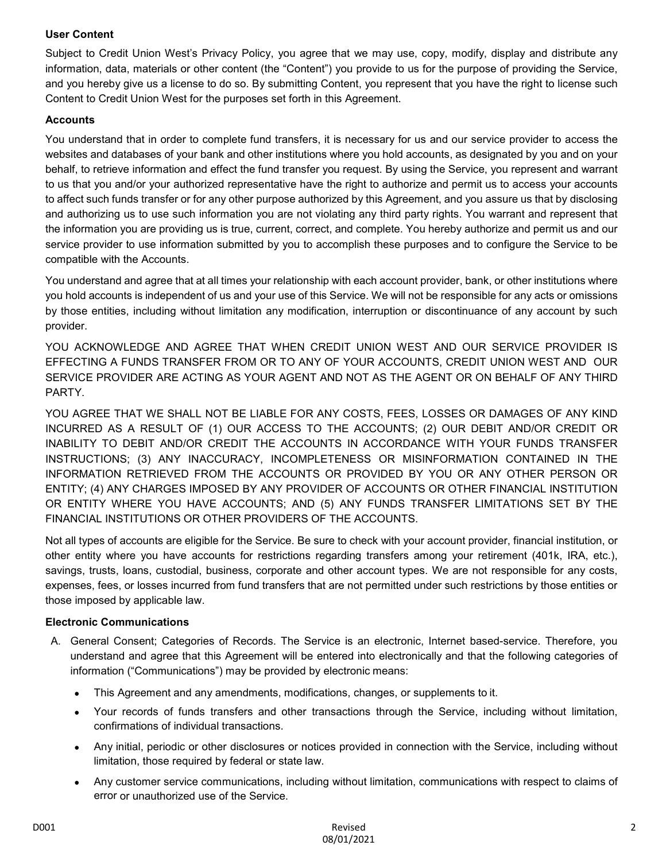# **User Content**

Subject to Credit Union West's Privacy Policy, you agree that we may use, copy, modify, display and distribute any information, data, materials or other content (the "Content") you provide to us for the purpose of providing the Service, and you hereby give us a license to do so. By submitting Content, you represent that you have the right to license such Content to Credit Union West for the purposes set forth in this Agreement.

# **Accounts**

You understand that in order to complete fund transfers, it is necessary for us and our service provider to access the websites and databases of your bank and other institutions where you hold accounts, as designated by you and on your behalf, to retrieve information and effect the fund transfer you request. By using the Service, you represent and warrant to us that you and/or your authorized representative have the right to authorize and permit us to access your accounts to affect such funds transfer or for any other purpose authorized by this Agreement, and you assure us that by disclosing and authorizing us to use such information you are not violating any third party rights. You warrant and represent that the information you are providing us is true, current, correct, and complete. You hereby authorize and permit us and our service provider to use information submitted by you to accomplish these purposes and to configure the Service to be compatible with the Accounts.

You understand and agree that at all times your relationship with each account provider, bank, or other institutions where you hold accounts is independent of us and your use of this Service. We will not be responsible for any acts or omissions by those entities, including without limitation any modification, interruption or discontinuance of any account by such provider.

YOU ACKNOWLEDGE AND AGREE THAT WHEN CREDIT UNION WEST AND OUR SERVICE PROVIDER IS EFFECTING A FUNDS TRANSFER FROM OR TO ANY OF YOUR ACCOUNTS, CREDIT UNION WEST AND OUR SERVICE PROVIDER ARE ACTING AS YOUR AGENT AND NOT AS THE AGENT OR ON BEHALF OF ANY THIRD PARTY.

YOU AGREE THAT WE SHALL NOT BE LIABLE FOR ANY COSTS, FEES, LOSSES OR DAMAGES OF ANY KIND INCURRED AS A RESULT OF (1) OUR ACCESS TO THE ACCOUNTS; (2) OUR DEBIT AND/OR CREDIT OR INABILITY TO DEBIT AND/OR CREDIT THE ACCOUNTS IN ACCORDANCE WITH YOUR FUNDS TRANSFER INSTRUCTIONS; (3) ANY INACCURACY, INCOMPLETENESS OR MISINFORMATION CONTAINED IN THE INFORMATION RETRIEVED FROM THE ACCOUNTS OR PROVIDED BY YOU OR ANY OTHER PERSON OR ENTITY; (4) ANY CHARGES IMPOSED BY ANY PROVIDER OF ACCOUNTS OR OTHER FINANCIAL INSTITUTION OR ENTITY WHERE YOU HAVE ACCOUNTS; AND (5) ANY FUNDS TRANSFER LIMITATIONS SET BY THE FINANCIAL INSTITUTIONS OR OTHER PROVIDERS OF THE ACCOUNTS.

Not all types of accounts are eligible for the Service. Be sure to check with your account provider, financial institution, or other entity where you have accounts for restrictions regarding transfers among your retirement (401k, IRA, etc.), savings, trusts, loans, custodial, business, corporate and other account types. We are not responsible for any costs, expenses, fees, or losses incurred from fund transfers that are not permitted under such restrictions by those entities or those imposed by applicable law.

# **Electronic Communications**

- A. General Consent; Categories of Records. The Service is an electronic, Internet based-service. Therefore, you understand and agree that this Agreement will be entered into electronically and that the following categories of information ("Communications") may be provided by electronic means:
	- This Agreement and any amendments, modifications, changes, or supplements to it.
	- Your records of funds transfers and other transactions through the Service, including without limitation, confirmations of individual transactions.
	- Any initial, periodic or other disclosures or notices provided in connection with the Service, including without limitation, those required by federal or state law.
	- Any customer service communications, including without limitation, communications with respect to claims of error or unauthorized use of the Service.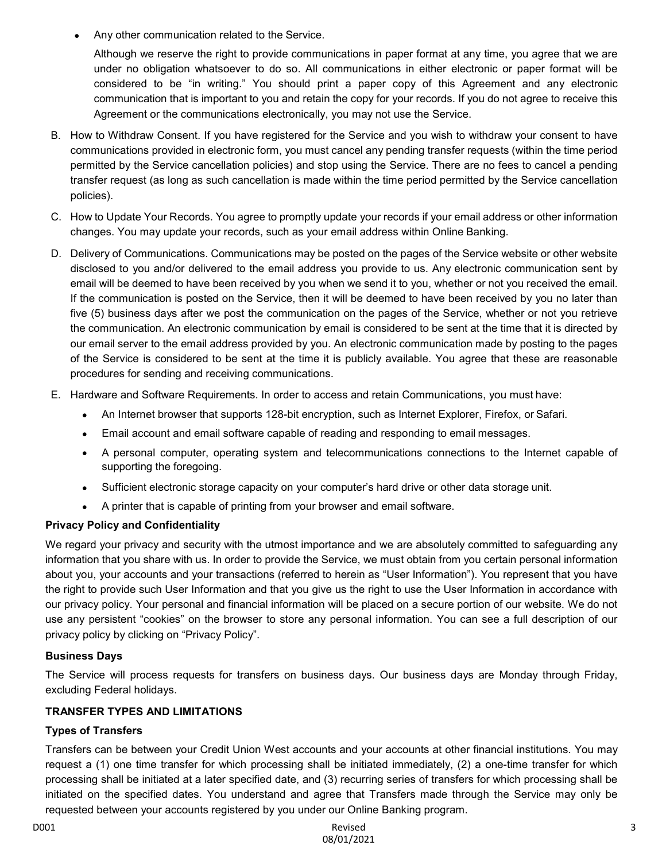Any other communication related to the Service.

Although we reserve the right to provide communications in paper format at any time, you agree that we are under no obligation whatsoever to do so. All communications in either electronic or paper format will be considered to be "in writing." You should print a paper copy of this Agreement and any electronic communication that is important to you and retain the copy for your records. If you do not agree to receive this Agreement or the communications electronically, you may not use the Service.

- B. How to Withdraw Consent. If you have registered for the Service and you wish to withdraw your consent to have communications provided in electronic form, you must cancel any pending transfer requests (within the time period permitted by the Service cancellation policies) and stop using the Service. There are no fees to cancel a pending transfer request (as long as such cancellation is made within the time period permitted by the Service cancellation policies).
- C. How to Update Your Records. You agree to promptly update your records if your email address or other information changes. You may update your records, such as your email address within Online Banking.
- D. Delivery of Communications. Communications may be posted on the pages of the Service website or other website disclosed to you and/or delivered to the email address you provide to us. Any electronic communication sent by email will be deemed to have been received by you when we send it to you, whether or not you received the email. If the communication is posted on the Service, then it will be deemed to have been received by you no later than five (5) business days after we post the communication on the pages of the Service, whether or not you retrieve the communication. An electronic communication by email is considered to be sent at the time that it is directed by our email server to the email address provided by you. An electronic communication made by posting to the pages of the Service is considered to be sent at the time it is publicly available. You agree that these are reasonable procedures for sending and receiving communications.
- E. Hardware and Software Requirements. In order to access and retain Communications, you must have:
	- An Internet browser that supports 128-bit encryption, such as Internet Explorer, Firefox, or Safari.
	- Email account and email software capable of reading and responding to email messages.
	- A personal computer, operating system and telecommunications connections to the Internet capable of supporting the foregoing.
	- Sufficient electronic storage capacity on your computer's hard drive or other data storage unit.
	- A printer that is capable of printing from your browser and email software.

# **Privacy Policy and Confidentiality**

We regard your privacy and security with the utmost importance and we are absolutely committed to safeguarding any information that you share with us. In order to provide the Service, we must obtain from you certain personal information about you, your accounts and your transactions (referred to herein as "User Information"). You represent that you have the right to provide such User Information and that you give us the right to use the User Information in accordance with our privacy policy. Your personal and financial information will be placed on a secure portion of our website. We do not use any persistent "cookies" on the browser to store any personal information. You can see a full description of our privacy policy by clicking on "Privacy Policy".

# **Business Days**

The Service will process requests for transfers on business days. Our business days are Monday through Friday, excluding Federal holidays.

# **TRANSFER TYPES AND LIMITATIONS**

# **Types of Transfers**

Transfers can be between your Credit Union West accounts and your accounts at other financial institutions. You may request a (1) one time transfer for which processing shall be initiated immediately, (2) a one-time transfer for which processing shall be initiated at a later specified date, and (3) recurring series of transfers for which processing shall be initiated on the specified dates. You understand and agree that Transfers made through the Service may only be requested between your accounts registered by you under our Online Banking program.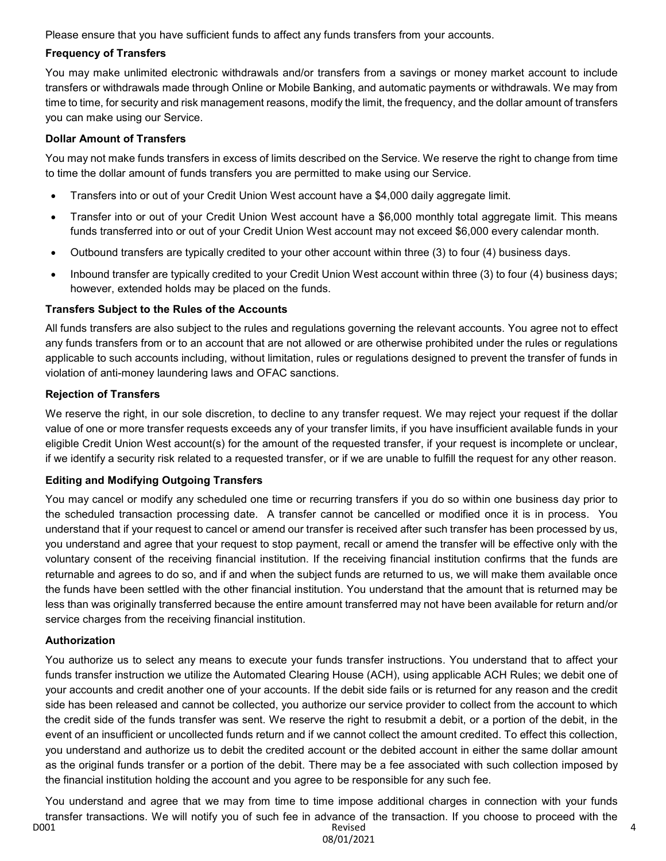Please ensure that you have sufficient funds to affect any funds transfers from your accounts.

#### **Frequency of Transfers**

You may make unlimited electronic withdrawals and/or transfers from a savings or money market account to include transfers or withdrawals made through Online or Mobile Banking, and automatic payments or withdrawals. We may from time to time, for security and risk management reasons, modify the limit, the frequency, and the dollar amount of transfers you can make using our Service.

#### **Dollar Amount of Transfers**

You may not make funds transfers in excess of limits described on the Service. We reserve the right to change from time to time the dollar amount of funds transfers you are permitted to make using our Service.

- Transfers into or out of your Credit Union West account have a \$4,000 daily aggregate limit.
- Transfer into or out of your Credit Union West account have a \$6,000 monthly total aggregate limit. This means funds transferred into or out of your Credit Union West account may not exceed \$6,000 every calendar month.
- Outbound transfers are typically credited to your other account within three (3) to four (4) business days.
- Inbound transfer are typically credited to your Credit Union West account within three (3) to four (4) business days; however, extended holds may be placed on the funds.

#### **Transfers Subject to the Rules of the Accounts**

All funds transfers are also subject to the rules and regulations governing the relevant accounts. You agree not to effect any funds transfers from or to an account that are not allowed or are otherwise prohibited under the rules or regulations applicable to such accounts including, without limitation, rules or regulations designed to prevent the transfer of funds in violation of anti-money laundering laws and OFAC sanctions.

#### **Rejection of Transfers**

We reserve the right, in our sole discretion, to decline to any transfer request. We may reject your request if the dollar value of one or more transfer requests exceeds any of your transfer limits, if you have insufficient available funds in your eligible Credit Union West account(s) for the amount of the requested transfer, if your request is incomplete or unclear, if we identify a security risk related to a requested transfer, or if we are unable to fulfill the request for any other reason.

#### **Editing and Modifying Outgoing Transfers**

You may cancel or modify any scheduled one time or recurring transfers if you do so within one business day prior to the scheduled transaction processing date. A transfer cannot be cancelled or modified once it is in process. You understand that if your request to cancel or amend our transfer is received after such transfer has been processed by us, you understand and agree that your request to stop payment, recall or amend the transfer will be effective only with the voluntary consent of the receiving financial institution. If the receiving financial institution confirms that the funds are returnable and agrees to do so, and if and when the subject funds are returned to us, we will make them available once the funds have been settled with the other financial institution. You understand that the amount that is returned may be less than was originally transferred because the entire amount transferred may not have been available for return and/or service charges from the receiving financial institution.

# **Authorization**

You authorize us to select any means to execute your funds transfer instructions. You understand that to affect your funds transfer instruction we utilize the Automated Clearing House (ACH), using applicable ACH Rules; we debit one of your accounts and credit another one of your accounts. If the debit side fails or is returned for any reason and the credit side has been released and cannot be collected, you authorize our service provider to collect from the account to which the credit side of the funds transfer was sent. We reserve the right to resubmit a debit, or a portion of the debit, in the event of an insufficient or uncollected funds return and if we cannot collect the amount credited. To effect this collection, you understand and authorize us to debit the credited account or the debited account in either the same dollar amount as the original funds transfer or a portion of the debit. There may be a fee associated with such collection imposed by the financial institution holding the account and you agree to be responsible for any such fee.

D001 Revised You understand and agree that we may from time to time impose additional charges in connection with your funds transfer transactions. We will notify you of such fee in advance of the transaction. If you choose to proceed with the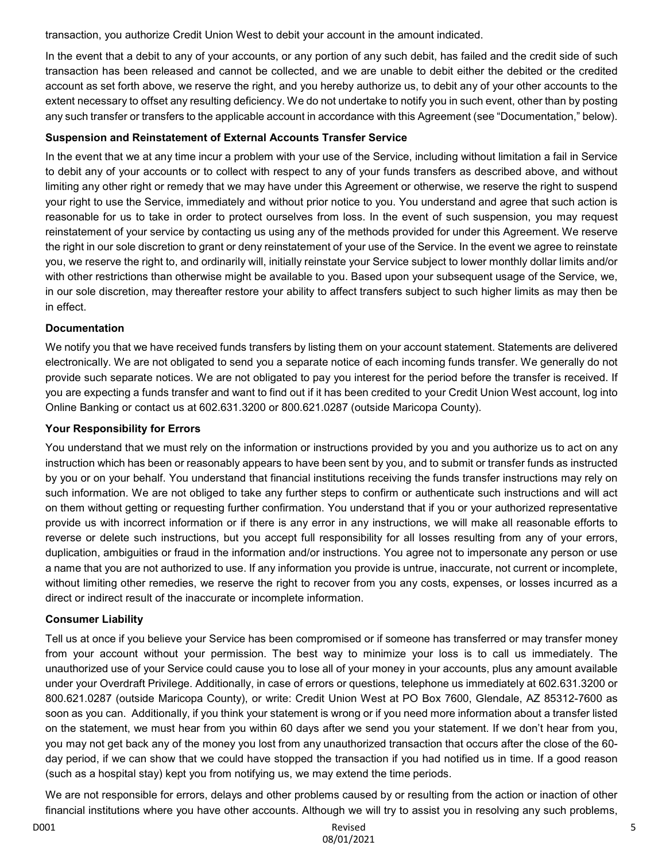transaction, you authorize Credit Union West to debit your account in the amount indicated.

In the event that a debit to any of your accounts, or any portion of any such debit, has failed and the credit side of such transaction has been released and cannot be collected, and we are unable to debit either the debited or the credited account as set forth above, we reserve the right, and you hereby authorize us, to debit any of your other accounts to the extent necessary to offset any resulting deficiency. We do not undertake to notify you in such event, other than by posting any such transfer or transfers to the applicable account in accordance with this Agreement (see "Documentation," below).

# **Suspension and Reinstatement of External Accounts Transfer Service**

In the event that we at any time incur a problem with your use of the Service, including without limitation a fail in Service to debit any of your accounts or to collect with respect to any of your funds transfers as described above, and without limiting any other right or remedy that we may have under this Agreement or otherwise, we reserve the right to suspend your right to use the Service, immediately and without prior notice to you. You understand and agree that such action is reasonable for us to take in order to protect ourselves from loss. In the event of such suspension, you may request reinstatement of your service by contacting us using any of the methods provided for under this Agreement. We reserve the right in our sole discretion to grant or deny reinstatement of your use of the Service. In the event we agree to reinstate you, we reserve the right to, and ordinarily will, initially reinstate your Service subject to lower monthly dollar limits and/or with other restrictions than otherwise might be available to you. Based upon your subsequent usage of the Service, we, in our sole discretion, may thereafter restore your ability to affect transfers subject to such higher limits as may then be in effect.

# **Documentation**

We notify you that we have received funds transfers by listing them on your account statement. Statements are delivered electronically. We are not obligated to send you a separate notice of each incoming funds transfer. We generally do not provide such separate notices. We are not obligated to pay you interest for the period before the transfer is received. If you are expecting a funds transfer and want to find out if it has been credited to your Credit Union West account, log into Online Banking or contact us at 602.631.3200 or 800.621.0287 (outside Maricopa County).

# **Your Responsibility for Errors**

You understand that we must rely on the information or instructions provided by you and you authorize us to act on any instruction which has been or reasonably appears to have been sent by you, and to submit or transfer funds as instructed by you or on your behalf. You understand that financial institutions receiving the funds transfer instructions may rely on such information. We are not obliged to take any further steps to confirm or authenticate such instructions and will act on them without getting or requesting further confirmation. You understand that if you or your authorized representative provide us with incorrect information or if there is any error in any instructions, we will make all reasonable efforts to reverse or delete such instructions, but you accept full responsibility for all losses resulting from any of your errors, duplication, ambiguities or fraud in the information and/or instructions. You agree not to impersonate any person or use a name that you are not authorized to use. If any information you provide is untrue, inaccurate, not current or incomplete, without limiting other remedies, we reserve the right to recover from you any costs, expenses, or losses incurred as a direct or indirect result of the inaccurate or incomplete information.

# **Consumer Liability**

Tell us at once if you believe your Service has been compromised or if someone has transferred or may transfer money from your account without your permission. The best way to minimize your loss is to call us immediately. The unauthorized use of your Service could cause you to lose all of your money in your accounts, plus any amount available under your Overdraft Privilege. Additionally, in case of errors or questions, telephone us immediately at 602.631.3200 or 800.621.0287 (outside Maricopa County), or write: Credit Union West at PO Box 7600, Glendale, AZ 85312-7600 as soon as you can. Additionally, if you think your statement is wrong or if you need more information about a transfer listed on the statement, we must hear from you within 60 days after we send you your statement. If we don't hear from you, you may not get back any of the money you lost from any unauthorized transaction that occurs after the close of the 60 day period, if we can show that we could have stopped the transaction if you had notified us in time. If a good reason (such as a hospital stay) kept you from notifying us, we may extend the time periods.

We are not responsible for errors, delays and other problems caused by or resulting from the action or inaction of other financial institutions where you have other accounts. Although we will try to assist you in resolving any such problems,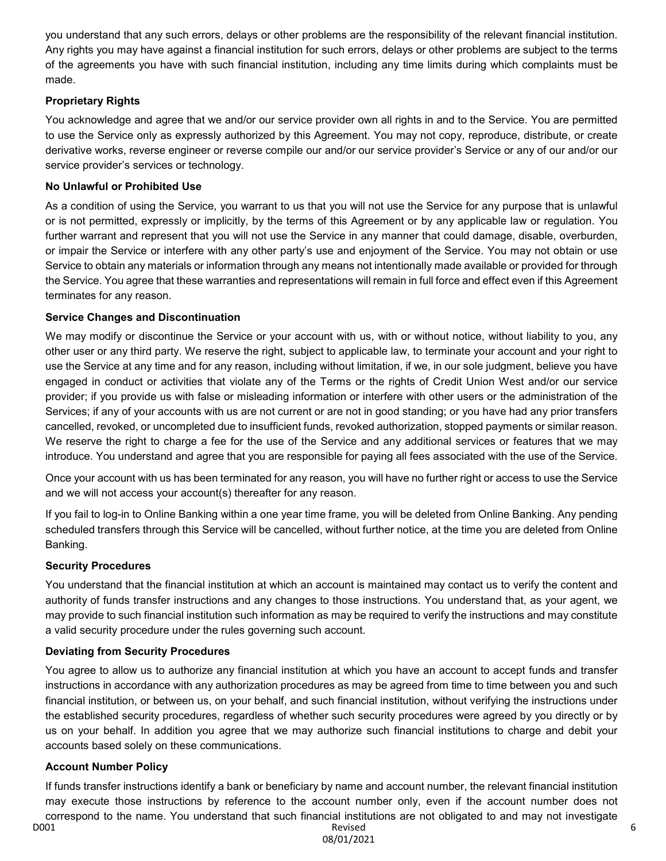you understand that any such errors, delays or other problems are the responsibility of the relevant financial institution. Any rights you may have against a financial institution for such errors, delays or other problems are subject to the terms of the agreements you have with such financial institution, including any time limits during which complaints must be made.

# **Proprietary Rights**

You acknowledge and agree that we and/or our service provider own all rights in and to the Service. You are permitted to use the Service only as expressly authorized by this Agreement. You may not copy, reproduce, distribute, or create derivative works, reverse engineer or reverse compile our and/or our service provider's Service or any of our and/or our service provider's services or technology.

# **No Unlawful or Prohibited Use**

As a condition of using the Service, you warrant to us that you will not use the Service for any purpose that is unlawful or is not permitted, expressly or implicitly, by the terms of this Agreement or by any applicable law or regulation. You further warrant and represent that you will not use the Service in any manner that could damage, disable, overburden, or impair the Service or interfere with any other party's use and enjoyment of the Service. You may not obtain or use Service to obtain any materials or information through any means not intentionally made available or provided for through the Service. You agree that these warranties and representations will remain in full force and effect even if this Agreement terminates for any reason.

# **Service Changes and Discontinuation**

We may modify or discontinue the Service or your account with us, with or without notice, without liability to you, any other user or any third party. We reserve the right, subject to applicable law, to terminate your account and your right to use the Service at any time and for any reason, including without limitation, if we, in our sole judgment, believe you have engaged in conduct or activities that violate any of the Terms or the rights of Credit Union West and/or our service provider; if you provide us with false or misleading information or interfere with other users or the administration of the Services; if any of your accounts with us are not current or are not in good standing; or you have had any prior transfers cancelled, revoked, or uncompleted due to insufficient funds, revoked authorization, stopped payments or similar reason. We reserve the right to charge a fee for the use of the Service and any additional services or features that we may introduce. You understand and agree that you are responsible for paying all fees associated with the use of the Service.

Once your account with us has been terminated for any reason, you will have no further right or access to use the Service and we will not access your account(s) thereafter for any reason.

If you fail to log-in to Online Banking within a one year time frame, you will be deleted from Online Banking. Any pending scheduled transfers through this Service will be cancelled, without further notice, at the time you are deleted from Online Banking.

# **Security Procedures**

You understand that the financial institution at which an account is maintained may contact us to verify the content and authority of funds transfer instructions and any changes to those instructions. You understand that, as your agent, we may provide to such financial institution such information as may be required to verify the instructions and may constitute a valid security procedure under the rules governing such account.

# **Deviating from Security Procedures**

You agree to allow us to authorize any financial institution at which you have an account to accept funds and transfer instructions in accordance with any authorization procedures as may be agreed from time to time between you and such financial institution, or between us, on your behalf, and such financial institution, without verifying the instructions under the established security procedures, regardless of whether such security procedures were agreed by you directly or by us on your behalf. In addition you agree that we may authorize such financial institutions to charge and debit your accounts based solely on these communications.

# **Account Number Policy**

D001 Revised If funds transfer instructions identify a bank or beneficiary by name and account number, the relevant financial institution may execute those instructions by reference to the account number only, even if the account number does not correspond to the name. You understand that such financial institutions are not obligated to and may not investigate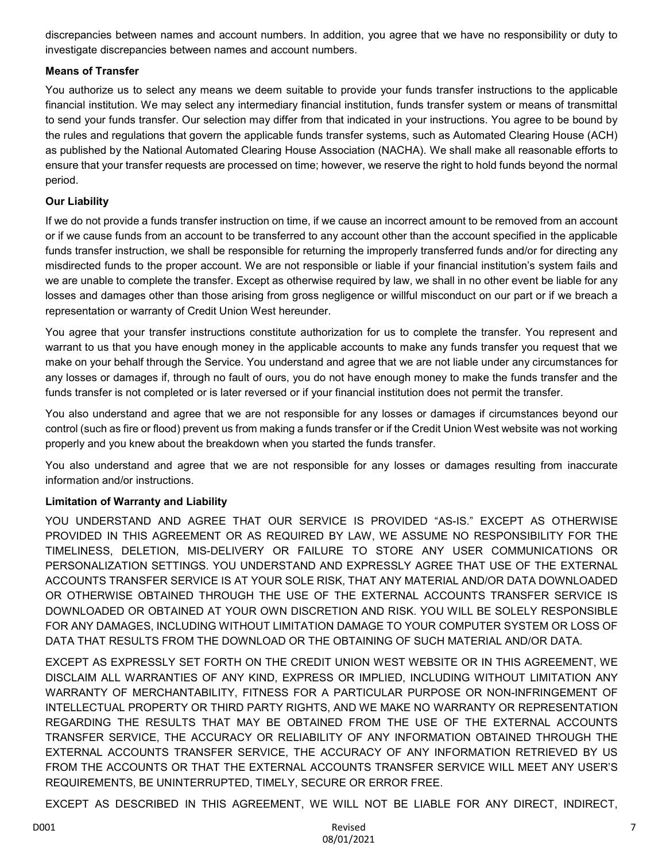discrepancies between names and account numbers. In addition, you agree that we have no responsibility or duty to investigate discrepancies between names and account numbers.

# **Means of Transfer**

You authorize us to select any means we deem suitable to provide your funds transfer instructions to the applicable financial institution. We may select any intermediary financial institution, funds transfer system or means of transmittal to send your funds transfer. Our selection may differ from that indicated in your instructions. You agree to be bound by the rules and regulations that govern the applicable funds transfer systems, such as Automated Clearing House (ACH) as published by the National Automated Clearing House Association (NACHA). We shall make all reasonable efforts to ensure that your transfer requests are processed on time; however, we reserve the right to hold funds beyond the normal period.

# **Our Liability**

If we do not provide a funds transfer instruction on time, if we cause an incorrect amount to be removed from an account or if we cause funds from an account to be transferred to any account other than the account specified in the applicable funds transfer instruction, we shall be responsible for returning the improperly transferred funds and/or for directing any misdirected funds to the proper account. We are not responsible or liable if your financial institution's system fails and we are unable to complete the transfer. Except as otherwise required by law, we shall in no other event be liable for any losses and damages other than those arising from gross negligence or willful misconduct on our part or if we breach a representation or warranty of Credit Union West hereunder.

You agree that your transfer instructions constitute authorization for us to complete the transfer. You represent and warrant to us that you have enough money in the applicable accounts to make any funds transfer you request that we make on your behalf through the Service. You understand and agree that we are not liable under any circumstances for any losses or damages if, through no fault of ours, you do not have enough money to make the funds transfer and the funds transfer is not completed or is later reversed or if your financial institution does not permit the transfer.

You also understand and agree that we are not responsible for any losses or damages if circumstances beyond our control (such as fire or flood) prevent us from making a funds transfer or if the Credit Union West website was not working properly and you knew about the breakdown when you started the funds transfer.

You also understand and agree that we are not responsible for any losses or damages resulting from inaccurate information and/or instructions.

# **Limitation of Warranty and Liability**

YOU UNDERSTAND AND AGREE THAT OUR SERVICE IS PROVIDED "AS-IS." EXCEPT AS OTHERWISE PROVIDED IN THIS AGREEMENT OR AS REQUIRED BY LAW, WE ASSUME NO RESPONSIBILITY FOR THE TIMELINESS, DELETION, MIS-DELIVERY OR FAILURE TO STORE ANY USER COMMUNICATIONS OR PERSONALIZATION SETTINGS. YOU UNDERSTAND AND EXPRESSLY AGREE THAT USE OF THE EXTERNAL ACCOUNTS TRANSFER SERVICE IS AT YOUR SOLE RISK, THAT ANY MATERIAL AND/OR DATA DOWNLOADED OR OTHERWISE OBTAINED THROUGH THE USE OF THE EXTERNAL ACCOUNTS TRANSFER SERVICE IS DOWNLOADED OR OBTAINED AT YOUR OWN DISCRETION AND RISK. YOU WILL BE SOLELY RESPONSIBLE FOR ANY DAMAGES, INCLUDING WITHOUT LIMITATION DAMAGE TO YOUR COMPUTER SYSTEM OR LOSS OF DATA THAT RESULTS FROM THE DOWNLOAD OR THE OBTAINING OF SUCH MATERIAL AND/OR DATA.

EXCEPT AS EXPRESSLY SET FORTH ON THE CREDIT UNION WEST WEBSITE OR IN THIS AGREEMENT, WE DISCLAIM ALL WARRANTIES OF ANY KIND, EXPRESS OR IMPLIED, INCLUDING WITHOUT LIMITATION ANY WARRANTY OF MERCHANTABILITY, FITNESS FOR A PARTICULAR PURPOSE OR NON-INFRINGEMENT OF INTELLECTUAL PROPERTY OR THIRD PARTY RIGHTS, AND WE MAKE NO WARRANTY OR REPRESENTATION REGARDING THE RESULTS THAT MAY BE OBTAINED FROM THE USE OF THE EXTERNAL ACCOUNTS TRANSFER SERVICE, THE ACCURACY OR RELIABILITY OF ANY INFORMATION OBTAINED THROUGH THE EXTERNAL ACCOUNTS TRANSFER SERVICE, THE ACCURACY OF ANY INFORMATION RETRIEVED BY US FROM THE ACCOUNTS OR THAT THE EXTERNAL ACCOUNTS TRANSFER SERVICE WILL MEET ANY USER'S REQUIREMENTS, BE UNINTERRUPTED, TIMELY, SECURE OR ERROR FREE.

EXCEPT AS DESCRIBED IN THIS AGREEMENT, WE WILL NOT BE LIABLE FOR ANY DIRECT, INDIRECT,